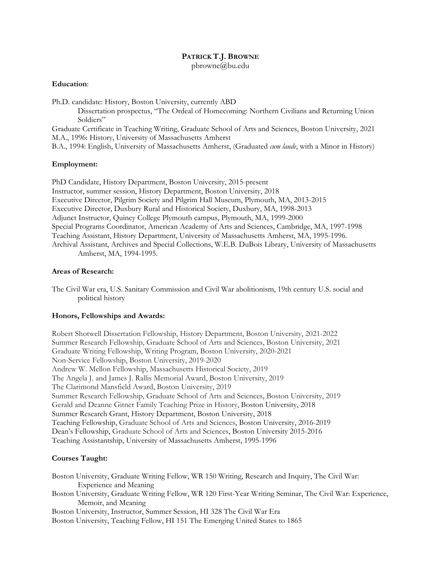# **PATRICK T.J. BROWNE**

pbrowne@bu.edu

### **Education**:

Ph.D. candidate: History, Boston University, currently ABD

Dissertation prospectus, "The Ordeal of Homecoming: Northern Civilians and Returning Union Soldiers"

Graduate Certificate in Teaching Writing, Graduate School of Arts and Sciences, Boston University, 2021 M.A., 1996: History, University of Massachusetts Amherst

B.A., 1994: English, University of Massachusetts Amherst, (Graduated *cum laude*, with a Minor in History)

### **Employment:**

PhD Candidate, History Department, Boston University, 2015-present Instructor, summer session, History Department, Boston University, 2018 Executive Director, Pilgrim Society and Pilgrim Hall Museum, Plymouth, MA, 2013-2015 Executive Director, Duxbury Rural and Historical Society, Duxbury, MA, 1998-2013 Adjunct Instructor, Quincy College Plymouth campus, Plymouth, MA, 1999-2000 Special Programs Coordinator, American Academy of Arts and Sciences, Cambridge, MA, 1997-1998 Teaching Assistant, History Department, University of Massachusetts Amherst, MA, 1995-1996. Archival Assistant, Archives and Special Collections, W.E.B. DuBois Library, University of Massachusetts Amherst, MA, 1994-1995.

### **Areas of Research:**

The Civil War era, U.S. Sanitary Commission and Civil War abolitionism, 19th century U.S. social and political history

#### **Honors, Fellowships and Awards:**

Robert Shotwell Dissertation Fellowship, History Department, Boston University, 2021-2022 Summer Research Fellowship, Graduate School of Arts and Sciences, Boston University, 2021 Graduate Writing Fellowship, Writing Program, Boston University, 2020-2021 Non-Service Fellowship, Boston University, 2019-2020 Andrew W. Mellon Fellowship, Massachusetts Historical Society, 2019 The Angela J. and James J. Rallis Memorial Award, Boston University, 2019 The Clarimond Mansfield Award, Boston University, 2019 Summer Research Fellowship, Graduate School of Arts and Sciences, Boston University, 2019 Gerald and Deanne Gitner Family Teaching Prize in History, Boston University, 2018 Summer Research Grant, History Department, Boston University, 2018 Teaching Fellowship, Graduate School of Arts and Sciences, Boston University, 2016-2019 Dean's Fellowship, Graduate School of Arts and Sciences, Boston University 2015-2016 Teaching Assistantship, University of Massachusetts Amherst, 1995-1996

### **Courses Taught:**

- Boston University, Graduate Writing Fellow, WR 150 Writing, Research and Inquiry, The Civil War: Experience and Meaning
- Boston University, Graduate Writing Fellow, WR 120 First-Year Writing Seminar, The Civil War: Experience, Memoir, and Meaning
- Boston University, Instructor, Summer Session, HI 328 The Civil War Era
- Boston University, Teaching Fellow, HI 151 The Emerging United States to 1865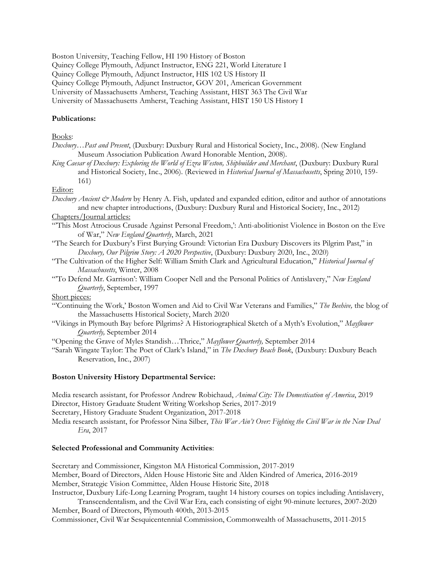Boston University, Teaching Fellow, HI 190 History of Boston

Quincy College Plymouth, Adjunct Instructor, ENG 221, World Literature I

Quincy College Plymouth, Adjunct Instructor, HIS 102 US History II

Quincy College Plymouth, Adjunct Instructor, GOV 201, American Government

University of Massachusetts Amherst, Teaching Assistant, HIST 363 The Civil War

University of Massachusetts Amherst, Teaching Assistant, HIST 150 US History I

# **Publications:**

## Books:

- *Duxbury…Past and Present*, (Duxbury: Duxbury Rural and Historical Society, Inc., 2008). (New England Museum Association Publication Award Honorable Mention, 2008).
- *King Caesar of Duxbury: Exploring the World of Ezra Weston, Shipbuilder and Merchant*, (Duxbury: Duxbury Rural and Historical Society, Inc., 2006). (Reviewed in *Historical Journal of Massachusetts*, Spring 2010, 159- 161)

# Editor:

- *Duxbury Ancient & Modern* by Henry A. Fish, updated and expanded edition, editor and author of annotations and new chapter introductions, (Duxbury: Duxbury Rural and Historical Society, Inc., 2012)
- Chapters/Journal articles:
- "'This Most Atrocious Crusade Against Personal Freedom,': Anti-abolitionist Violence in Boston on the Eve of War," *New England Quarterly*, March, 2021
- "The Search for Duxbury's First Burying Ground: Victorian Era Duxbury Discovers its Pilgrim Past," in *Duxbury, Our Pilgrim Story: A 2020 Perspective*, (Duxbury: Duxbury 2020, Inc., 2020)
- "The Cultivation of the Higher Self: William Smith Clark and Agricultural Education," *Historical Journal of Massachusetts*, Winter, 2008
- "'To Defend Mr. Garrison': William Cooper Nell and the Personal Politics of Antislavery," *New England Quarterly*, September, 1997

### Short pieces:

- "'Continuing the Work,' Boston Women and Aid to Civil War Veterans and Families," *The Beehive,* the blog of the Massachusetts Historical Society, March 2020
- "Vikings in Plymouth Bay before Pilgrims? A Historiographical Sketch of a Myth's Evolution," *Mayflower Quarterly,* September 2014

"Opening the Grave of Myles Standish…Thrice," *Mayflower Quarterly,* September 2014

"Sarah Wingate Taylor: The Poet of Clark's Island," in *The Duxbury Beach Book*, (Duxbury: Duxbury Beach Reservation, Inc., 2007)

# **Boston University History Departmental Service:**

Media research assistant, for Professor Andrew Robichaud, *Animal City: The Domestication of America*, 2019 Director, History Graduate Student Writing Workshop Series, 2017-2019 Secretary, History Graduate Student Organization, 2017-2018 Media research assistant, for Professor Nina Silber, *This War Ain't Over: Fighting the Civil War in the New Deal Era*, 2017

# **Selected Professional and Community Activities**:

Secretary and Commissioner, Kingston MA Historical Commission, 2017-2019 Member, Board of Directors, Alden House Historic Site and Alden Kindred of America, 2016-2019 Member, Strategic Vision Committee, Alden House Historic Site, 2018 Instructor, Duxbury Life-Long Learning Program, taught 14 history courses on topics including Antislavery,

Transcendentalism, and the Civil War Era, each consisting of eight 90-minute lectures, 2007-2020 Member, Board of Directors, Plymouth 400th, 2013-2015

Commissioner, Civil War Sesquicentennial Commission, Commonwealth of Massachusetts, 2011-2015